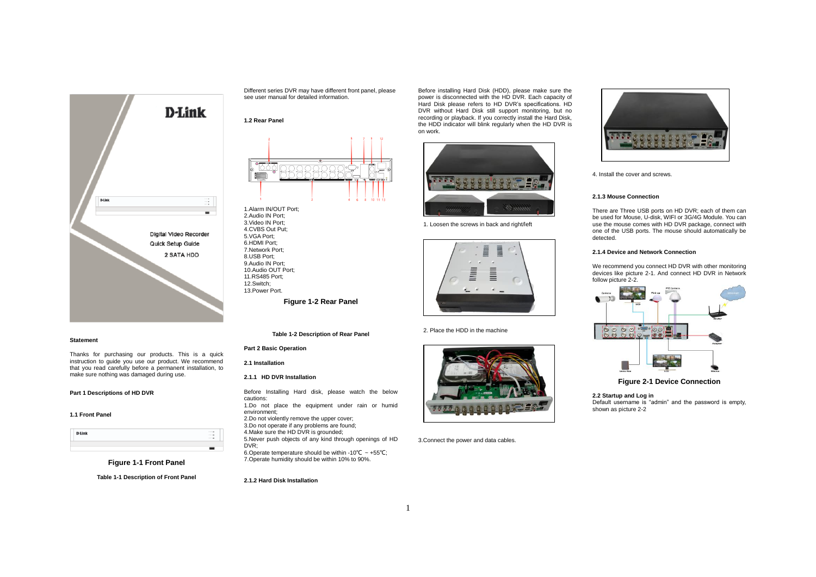

#### **Statement**

Thanks for purchasing our products. This is a quick instruction to guide you use our product. We recommend that you read carefully before a permanent installation, to make sure nothing was damaged during use.

### **Part 1 Descriptions of HD DVR**

### **1.1 Front Panel**

**D-Link** 

**Figure 1-1 Front Panel**

**Table 1-1 Description of Front Panel**

Different series DVR may have different front panel, please see user manual for detailed information.

#### **1.2 Rear Panel**



1.Alarm IN/OUT Port; 2.Audio IN Port; 3.Video IN Port; 4.CVBS Out Put; 5.VGA Port; 6.HDMI Port; 7.Network Port; 8.USB Port; 9.Audio IN Port; 10.Audio OUT Port; 11.RS485 Port; 12.Switch; 13.Power Port. **Figure 1-2 Rear Panel**

**Table 1-2 Description of Rear Panel**

## **Part 2 Basic Operation**

**2.1 Installation**

### **2.1.1 HD DVR Installation**

Before Installing Hard disk, please watch the below cautions: 1.Do not place the equipment under rain or humid environment;

2.Do not violently remove the upper cover; 3.Do not operate if any problems are found; 4.Make sure the HD DVR is grounded; 5.Never push objects of any kind through openings of HD

DVR; 6.Operate temperature should be within -10℃ ~ +55℃; 7.Operate humidity should be within 10% to 90%.

## **2.1.2 Hard Disk Installation**

Before installing Hard Disk (HDD), please make sure the power is disconnected with the HD DVR. Each capacity of Hard Disk please refers to HD DVR's specifications. HD DVR without Hard Disk still support monitoring, but no recording or playback. If you correctly install the Hard Disk, the HDD indicator will blink regularly when the HD DVR is on work.



1. Loosen the screws in back and right/left



2. Place the HDD in the machine



3.Connect the power and data cables.



4. Install the cover and screws.

### **2.1.3 Mouse Connection**

There are Three USB ports on HD DVR; each of them can be used for Mouse, U-disk, WIFI or 3G/4G Module. You can use the mouse comes with HD DVR package, connect with one of the USB ports. The mouse should automatically be detected.

### **2.1.4 Device and Network Connection**

We recommend you connect HD DVR with other monitoring devices like picture 2-1. And connect HD DVR in Network follow picture 2-2.



**Figure 2-1 Device Connection**

**2.2 Startup and Log in** Default username is "admin" and the password is empty, shown as picture 2-2

1